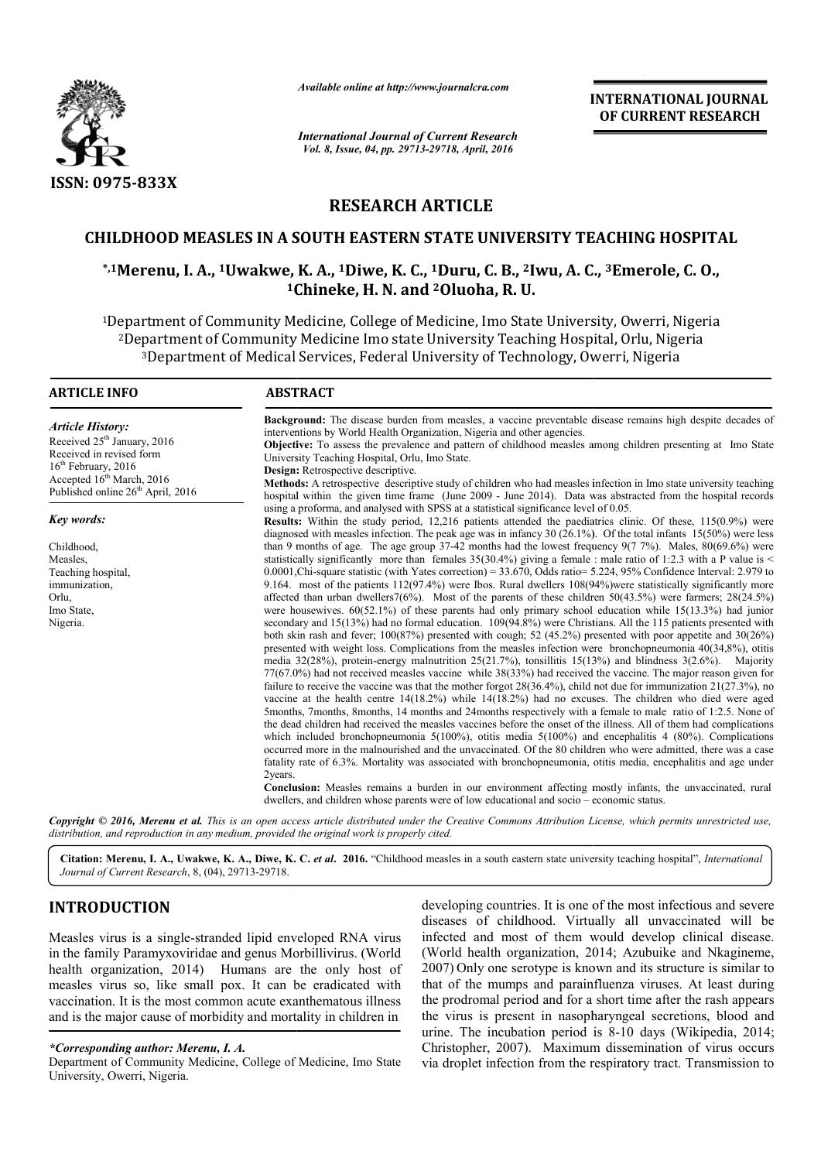

*Available online at http://www.journalcra.com*

*International Journal of Current Research Vol. 8, Issue, 04, pp. 29713-29718, April, 2016*

**INTERNATIONAL JOURNAL OF CURRENT RESEARCH** 

# **RESEARCH ARTICLE**

# **CHILDHOOD MEASLES IN A SOUTH EASTERN STA STATE UNIVERSITY TEACHING HOSPITAL**

# **\*,1Merenu, I. A., 1Uwakwe, K. A., 1Diwe, K. C., 1Duru, C. B., 2Iwu, A. C TE C., 3Emerole, C. O., 1Chineke Chineke, H. N. and 2Oluoha, R. U.**

<sup>1</sup>Department of Community Medicine, College of Medicine, Imo State University, Owerri, Nigeria <sup>2</sup>Department of Community Medicine Imo state University Teaching Hospital, Orlu, Nigeria<sup>3</sup>Department of Medical Services, Federal University of Technology, Owerri, Nigeria<sup>3</sup> 3Department of Medical Services, Federal University of Technology, Owerri, Nigeria Department

| <b>Background:</b> The disease burden from measles, a vaccine preventable disease remains high despite decades of<br>interventions by World Health Organization, Nigeria and other agencies.<br><b>Objective:</b> To assess the prevalence and pattern of childhood measles among children presenting at Imo State<br>University Teaching Hospital, Orlu, Imo State.<br>Design: Retrospective descriptive.<br><b>Methods:</b> A retrospective descriptive study of children who had measles infection in Imo state university teaching<br>hospital within the given time frame (June 2009 - June 2014). Data was abstracted from the hospital records<br>using a proforma, and analysed with SPSS at a statistical significance level of 0.05.<br><b>Results:</b> Within the study period, 12,216 patients attended the paediatrics clinic. Of these, 115(0.9%) were<br>diagnosed with measles infection. The peak age was in infancy 30 (26.1%). Of the total infants $15(50\%)$ were less<br>than 9 months of age. The age group 37-42 months had the lowest frequency $9(7 7\%)$ . Males, $80(69.6\%)$ were<br>statistically significantly more than females $35(30.4%)$ giving a female : male ratio of 1:2.3 with a P value is <<br>$0.0001$ , Chi-square statistic (with Yates correction) = 33.670, Odds ratio= 5.224, 95% Confidence Interval: 2.979 to<br>9.164. most of the patients 112(97.4%) were Ibos. Rural dwellers 108(94%) were statistically significantly more<br>affected than urban dwellers $7(6%)$ . Most of the parents of these children $50(43.5%)$ were farmers; $28(24.5%)$<br>were housewives. $60(52.1%)$ of these parents had only primary school education while 15(13.3%) had junior<br>secondary and 15(13%) had no formal education. 109(94.8%) were Christians. All the 115 patients presented with<br>both skin rash and fever; 100(87%) presented with cough; 52 (45.2%) presented with poor appetite and $30(26%)$<br>presented with weight loss. Complications from the measles infection were bronchopneumonia 40(34,8%), otitis<br>media $32(28%)$ , protein-energy malnutrition $25(21.7%)$ , tonsillitis $15(13%)$ and blindness $3(2.6%)$ . Majority<br>77(67.0%) had not received measles vaccine while 38(33%) had received the vaccine. The major reason given for<br>failure to receive the vaccine was that the mother forgot $28(36.4\%)$ , child not due for immunization $21(27.3\%)$ , no<br>vaccine at the health centre $14(18.2%)$ while $14(18.2%)$ had no excuses. The children who died were aged<br>5 months, 7 months, 8 months, 14 months and 24 months respectively with a female to male ratio of 1:2.5. None of<br>the dead children had received the measles vaccines before the onset of the illness. All of them had complications<br>which included bronchopneumonia $5(100\%)$ , otitis media $5(100\%)$ and encephalitis 4 (80%). Complications<br>occurred more in the malnourished and the unvaccinated. Of the 80 children who were admitted, there was a case<br>fatality rate of 6.3%. Mortality was associated with bronchopneumonia, otitis media, encephalitis and age under<br>2years.<br>Conclusion: Measles remains a burden in our environment affecting mostly infants, the unvaccinated, rural<br>dwellers, and children whose parents were of low educational and socio – economic status. | <b>ARTICLE INFO</b>                                                                                                                                                                                     | <b>ABSTRACT</b> |
|------------------------------------------------------------------------------------------------------------------------------------------------------------------------------------------------------------------------------------------------------------------------------------------------------------------------------------------------------------------------------------------------------------------------------------------------------------------------------------------------------------------------------------------------------------------------------------------------------------------------------------------------------------------------------------------------------------------------------------------------------------------------------------------------------------------------------------------------------------------------------------------------------------------------------------------------------------------------------------------------------------------------------------------------------------------------------------------------------------------------------------------------------------------------------------------------------------------------------------------------------------------------------------------------------------------------------------------------------------------------------------------------------------------------------------------------------------------------------------------------------------------------------------------------------------------------------------------------------------------------------------------------------------------------------------------------------------------------------------------------------------------------------------------------------------------------------------------------------------------------------------------------------------------------------------------------------------------------------------------------------------------------------------------------------------------------------------------------------------------------------------------------------------------------------------------------------------------------------------------------------------------------------------------------------------------------------------------------------------------------------------------------------------------------------------------------------------------------------------------------------------------------------------------------------------------------------------------------------------------------------------------------------------------------------------------------------------------------------------------------------------------------------------------------------------------------------------------------------------------------------------------------------------------------------------------------------------------------------------------------------------------------------------------------------------------------------------------------------------------------------------------------------------------------------------------------------------------------------------------------------------------------------------------------------------------------------------------------------------------------------------|---------------------------------------------------------------------------------------------------------------------------------------------------------------------------------------------------------|-----------------|
|                                                                                                                                                                                                                                                                                                                                                                                                                                                                                                                                                                                                                                                                                                                                                                                                                                                                                                                                                                                                                                                                                                                                                                                                                                                                                                                                                                                                                                                                                                                                                                                                                                                                                                                                                                                                                                                                                                                                                                                                                                                                                                                                                                                                                                                                                                                                                                                                                                                                                                                                                                                                                                                                                                                                                                                                                                                                                                                                                                                                                                                                                                                                                                                                                                                                                                                                                                                    | <b>Article History:</b><br>Received 25 <sup>th</sup> January, 2016<br>Received in revised form<br>$16th$ February, 2016<br>Accepted 16 <sup>th</sup> March, 2016<br>Published online $26th$ April, 2016 |                 |
|                                                                                                                                                                                                                                                                                                                                                                                                                                                                                                                                                                                                                                                                                                                                                                                                                                                                                                                                                                                                                                                                                                                                                                                                                                                                                                                                                                                                                                                                                                                                                                                                                                                                                                                                                                                                                                                                                                                                                                                                                                                                                                                                                                                                                                                                                                                                                                                                                                                                                                                                                                                                                                                                                                                                                                                                                                                                                                                                                                                                                                                                                                                                                                                                                                                                                                                                                                                    | Key words:                                                                                                                                                                                              |                 |
|                                                                                                                                                                                                                                                                                                                                                                                                                                                                                                                                                                                                                                                                                                                                                                                                                                                                                                                                                                                                                                                                                                                                                                                                                                                                                                                                                                                                                                                                                                                                                                                                                                                                                                                                                                                                                                                                                                                                                                                                                                                                                                                                                                                                                                                                                                                                                                                                                                                                                                                                                                                                                                                                                                                                                                                                                                                                                                                                                                                                                                                                                                                                                                                                                                                                                                                                                                                    | Childhood,<br>Measles.<br>Teaching hospital,<br>immunization,<br>Orlu,<br>Imo State,<br>Nigeria.                                                                                                        |                 |
| $\mathcal{L}$ , and a set of the set of the set of the set of the set of the set of the set of the set of the set of the set of the set of the set of the set of the set of the set of the set of the set of the set of the set of                                                                                                                                                                                                                                                                                                                                                                                                                                                                                                                                                                                                                                                                                                                                                                                                                                                                                                                                                                                                                                                                                                                                                                                                                                                                                                                                                                                                                                                                                                                                                                                                                                                                                                                                                                                                                                                                                                                                                                                                                                                                                                                                                                                                                                                                                                                                                                                                                                                                                                                                                                                                                                                                                                                                                                                                                                                                                                                                                                                                                                                                                                                                                 |                                                                                                                                                                                                         |                 |

Copyright © 2016, Merenu et al. This is an open access article distributed under the Creative Commons Attribution License, which permits unrestricted use, *distribution, and reproduction in any medium, provided the original work is properly cited.*

Citation: Merenu, I. A., Uwakwe, K. A., Diwe, K. C. et al. 2016. "Childhood measles in a south eastern state university teaching hospital", *International Journal of Current Research*, 8, (04), 29713-29718.

# **INTRODUCTION**

Measles virus is a single-stranded lipid enveloped RNA virus in the family Paramyxoviridae and genus Morbillivirus. (World health organization, 2014) Humans are the only host of measles virus so, like small pox. It can be eradicated with vaccination. It is the most common acute exanthematous illness vaccination. It is the most common acute exanthematous illness<br>and is the major cause of morbidity and mortality in children in

## *\*Corresponding author: Merenu, I. A.*

Department of Community Medicine, College of Medicine, Imo State University, Owerri, Nigeria.

developing countries. It is one of the most infectious and severe diseases of childhood. Virtually all unvaccinated will be infected and most of them would develop clinical disease. developing countries. It is one of the most infectious and severe diseases of childhood. Virtually all unvaccinated will be infected and most of them would develop clinical disease. (World health organization, 2014; Azubui 2007) Only one serotype is known and its structure is similar to that of the mumps and parainfluenza viruses. At least during the prodromal period and for a short time after the rash appears the virus is present in nasopharyngeal secretions, blood and urine. The incubation period is 8-10 days (Wikipedia, 2014; Christopher, 2007). Maximum dissemination of virus occurs Christopher, 2007). Maximum dissemination of virus occurs via droplet infection from the respiratory tract. Transmission to one serotype is known and its structure is similar to mumps and parainfluenza viruses. At least during all period and for a short time after the rash appears present in nasopharyngeal secretions, blood and incubation perio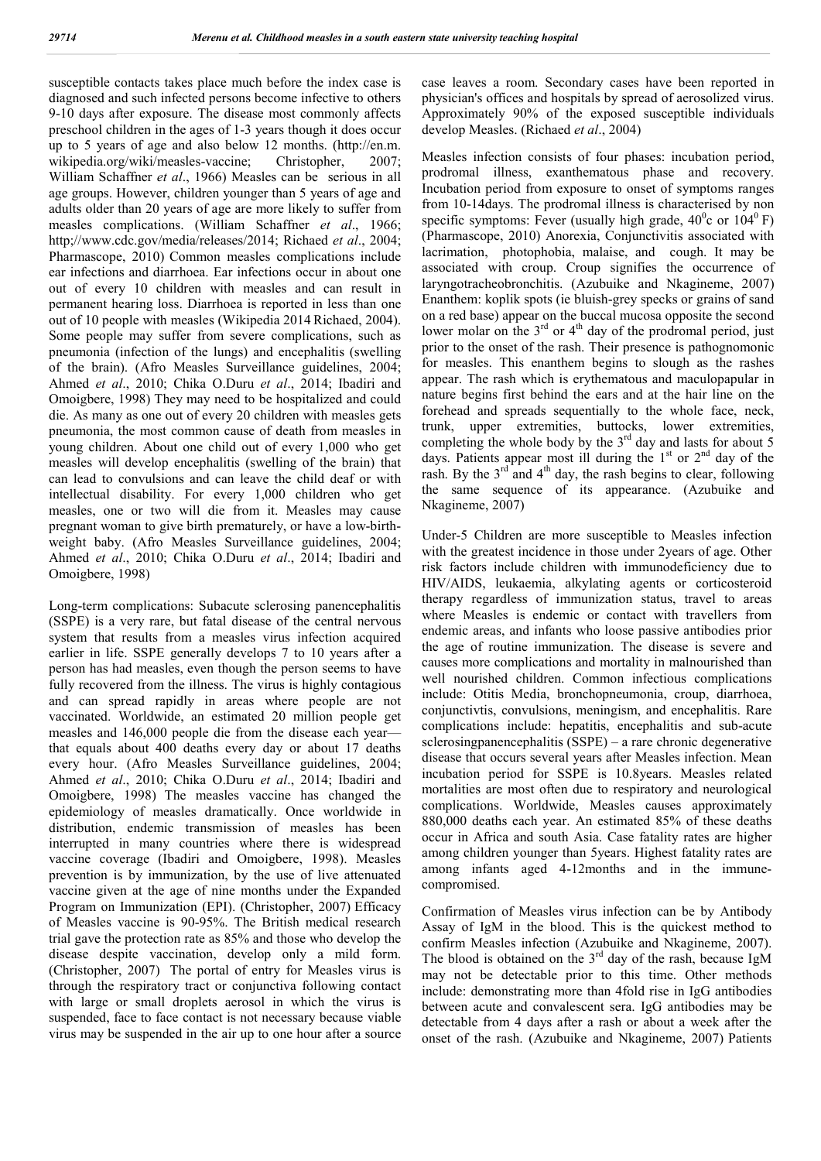susceptible contacts takes place much before the index case is diagnosed and such infected persons become infective to others 9-10 days after exposure. The disease most commonly affects preschool children in the ages of 1-3 years though it does occur up to 5 years of age and also below 12 months. (http://en.m. wikipedia.org/wiki/measles-vaccine; Christopher, 2007; William Schaffner *et al*., 1966) Measles can be serious in all age groups. However, children younger than 5 years of age and adults older than 20 years of age are more likely to suffer from measles complications. (William Schaffner *et al*., 1966; http;//www.cdc.gov/media/releases/2014; Richaed *et al*., 2004; Pharmascope, 2010) Common measles complications include ear infections and diarrhoea. Ear infections occur in about one out of every 10 children with measles and can result in permanent hearing loss. Diarrhoea is reported in less than one out of 10 people with measles (Wikipedia 2014 Richaed, 2004). Some people may suffer from severe complications, such as pneumonia (infection of the lungs) and encephalitis (swelling of the brain). (Afro Measles Surveillance guidelines, 2004; Ahmed *et al*., 2010; Chika O.Duru *et al*., 2014; Ibadiri and Omoigbere, 1998) They may need to be hospitalized and could die. As many as one out of every 20 children with measles gets pneumonia, the most common cause of death from measles in young children. About one child out of every 1,000 who get measles will develop encephalitis (swelling of the brain) that can lead to convulsions and can leave the child deaf or with intellectual disability. For every 1,000 children who get measles, one or two will die from it. Measles may cause pregnant woman to give birth prematurely, or have a low-birthweight baby. (Afro Measles Surveillance guidelines, 2004; Ahmed *et al*., 2010; Chika O.Duru *et al*., 2014; Ibadiri and Omoigbere, 1998)

Long-term complications: Subacute sclerosing panencephalitis (SSPE) is a very rare, but fatal disease of the central nervous system that results from a measles virus infection acquired earlier in life. SSPE generally develops 7 to 10 years after a person has had measles, even though the person seems to have fully recovered from the illness. The virus is highly contagious and can spread rapidly in areas where people are not vaccinated. Worldwide, an estimated 20 million people get measles and 146,000 people die from the disease each year that equals about 400 deaths every day or about 17 deaths every hour. (Afro Measles Surveillance guidelines, 2004; Ahmed *et al*., 2010; Chika O.Duru *et al*., 2014; Ibadiri and Omoigbere, 1998) The measles vaccine has changed the epidemiology of measles dramatically. Once worldwide in distribution, endemic transmission of measles has been interrupted in many countries where there is widespread vaccine coverage (Ibadiri and Omoigbere, 1998). Measles prevention is by immunization, by the use of live attenuated vaccine given at the age of nine months under the Expanded Program on Immunization (EPI). (Christopher, 2007) Efficacy of Measles vaccine is 90-95%. The British medical research trial gave the protection rate as 85% and those who develop the disease despite vaccination, develop only a mild form. (Christopher, 2007) The portal of entry for Measles virus is through the respiratory tract or conjunctiva following contact with large or small droplets aerosol in which the virus is suspended, face to face contact is not necessary because viable virus may be suspended in the air up to one hour after a source

case leaves a room. Secondary cases have been reported in physician's offices and hospitals by spread of aerosolized virus. Approximately 90% of the exposed susceptible individuals develop Measles. (Richaed *et al*., 2004)

Measles infection consists of four phases: incubation period, prodromal illness, exanthematous phase and recovery. Incubation period from exposure to onset of symptoms ranges from 10-14days. The prodromal illness is characterised by non specific symptoms: Fever (usually high grade,  $40^{\circ}$ c or  $104^{\circ}$  F) (Pharmascope, 2010) Anorexia, Conjunctivitis associated with lacrimation, photophobia, malaise, and cough. It may be associated with croup. Croup signifies the occurrence of laryngotracheobronchitis. (Azubuike and Nkagineme, 2007) Enanthem: koplik spots (ie bluish-grey specks or grains of sand on a red base) appear on the buccal mucosa opposite the second lower molar on the  $3<sup>rd</sup>$  or  $4<sup>th</sup>$  day of the prodromal period, just prior to the onset of the rash. Their presence is pathognomonic for measles. This enanthem begins to slough as the rashes appear. The rash which is erythematous and maculopapular in nature begins first behind the ears and at the hair line on the forehead and spreads sequentially to the whole face, neck, trunk, upper extremities, buttocks, lower extremities, completing the whole body by the 3<sup>rd</sup> day and lasts for about 5 days. Patients appear most ill during the  $1<sup>st</sup>$  or  $2<sup>nd</sup>$  day of the rash. By the  $3<sup>rd</sup>$  and  $4<sup>th</sup>$  day, the rash begins to clear, following the same sequence of its appearance. (Azubuike and Nkagineme, 2007)

Under-5 Children are more susceptible to Measles infection with the greatest incidence in those under 2years of age. Other risk factors include children with immunodeficiency due to HIV/AIDS, leukaemia, alkylating agents or corticosteroid therapy regardless of immunization status, travel to areas where Measles is endemic or contact with travellers from endemic areas, and infants who loose passive antibodies prior the age of routine immunization. The disease is severe and causes more complications and mortality in malnourished than well nourished children. Common infectious complications include: Otitis Media, bronchopneumonia, croup, diarrhoea, conjunctivtis, convulsions, meningism, and encephalitis. Rare complications include: hepatitis, encephalitis and sub-acute sclerosingpanencephalitis (SSPE) – a rare chronic degenerative disease that occurs several years after Measles infection. Mean incubation period for SSPE is 10.8years. Measles related mortalities are most often due to respiratory and neurological complications. Worldwide, Measles causes approximately 880,000 deaths each year. An estimated 85% of these deaths occur in Africa and south Asia. Case fatality rates are higher among children younger than 5years. Highest fatality rates are among infants aged 4-12months and in the immunecompromised.

Confirmation of Measles virus infection can be by Antibody Assay of IgM in the blood. This is the quickest method to confirm Measles infection (Azubuike and Nkagineme, 2007). The blood is obtained on the  $3<sup>rd</sup>$  day of the rash, because IgM may not be detectable prior to this time. Other methods include: demonstrating more than 4fold rise in IgG antibodies between acute and convalescent sera. IgG antibodies may be detectable from 4 days after a rash or about a week after the onset of the rash. (Azubuike and Nkagineme, 2007) Patients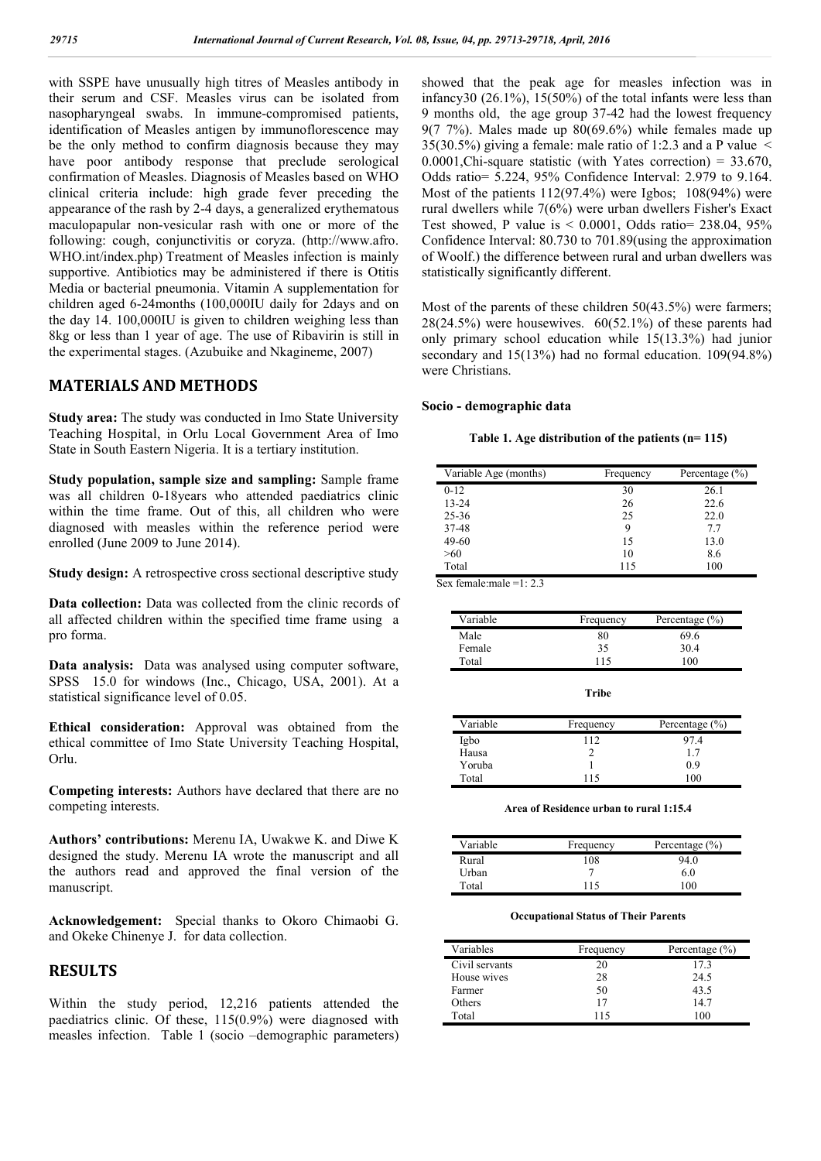with SSPE have unusually high titres of Measles antibody in their serum and CSF. Measles virus can be isolated from nasopharyngeal swabs. In immune-compromised patients, identification of Measles antigen by immunoflorescence may be the only method to confirm diagnosis because they may have poor antibody response that preclude serological confirmation of Measles. Diagnosis of Measles based on WHO clinical criteria include: high grade fever preceding the appearance of the rash by 2-4 days, a generalized erythematous maculopapular non-vesicular rash with one or more of the following: cough, conjunctivitis or coryza. (http://www.afro. WHO.int/index.php) Treatment of Measles infection is mainly supportive. Antibiotics may be administered if there is Otitis Media or bacterial pneumonia. Vitamin A supplementation for children aged 6-24months (100,000IU daily for 2days and on the day 14. 100,000IU is given to children weighing less than 8kg or less than 1 year of age. The use of Ribavirin is still in the experimental stages. (Azubuike and Nkagineme, 2007)

# **MATERIALS AND METHODS**

**Study area:** The study was conducted in Imo State University Teaching Hospital, in Orlu Local Government Area of Imo State in South Eastern Nigeria. It is a tertiary institution.

**Study population, sample size and sampling:** Sample frame was all children 0-18years who attended paediatrics clinic within the time frame. Out of this, all children who were diagnosed with measles within the reference period were enrolled (June 2009 to June 2014).

**Study design:** A retrospective cross sectional descriptive study

**Data collection:** Data was collected from the clinic records of all affected children within the specified time frame using a pro forma.

**Data analysis:** Data was analysed using computer software, SPSS 15.0 for windows (Inc., Chicago, USA, 2001). At a statistical significance level of 0.05.

**Ethical consideration:** Approval was obtained from the ethical committee of Imo State University Teaching Hospital, Orlu.

**Competing interests:** Authors have declared that there are no competing interests.

**Authors' contributions:** Merenu IA, Uwakwe K. and Diwe K designed the study. Merenu IA wrote the manuscript and all the authors read and approved the final version of the manuscript.

**Acknowledgement:** Special thanks to Okoro Chimaobi G. and Okeke Chinenye J. for data collection.

# **RESULTS**

Within the study period, 12,216 patients attended the paediatrics clinic. Of these, 115(0.9%) were diagnosed with measles infection. Table 1 (socio –demographic parameters) showed that the peak age for measles infection was in infancy30 (26.1%), 15(50%) of the total infants were less than 9 months old, the age group 37-42 had the lowest frequency 9(7 7%). Males made up  $80(69.6%)$  while females made up 35(30.5%) giving a female: male ratio of 1:2.3 and a P value  $\le$ 0.0001, Chi-square statistic (with Yates correction) =  $33.670$ , Odds ratio= 5.224, 95% Confidence Interval: 2.979 to 9.164. Most of the patients 112(97.4%) were Igbos; 108(94%) were rural dwellers while 7(6%) were urban dwellers Fisher's Exact Test showed, P value is < 0.0001, Odds ratio= 238.04, 95% Confidence Interval: 80.730 to 701.89(using the approximation of Woolf.) the difference between rural and urban dwellers was statistically significantly different.

Most of the parents of these children 50(43.5%) were farmers;  $28(24.5%)$  were housewives.  $60(52.1%)$  of these parents had only primary school education while 15(13.3%) had junior secondary and 15(13%) had no formal education. 109(94.8%) were Christians.

## **Socio - demographic data**

| Table 1. Age distribution of the patients (n= 115) |  |  |
|----------------------------------------------------|--|--|
|----------------------------------------------------|--|--|

| Variable Age (months) | Frequency | Percentage $(\% )$ |
|-----------------------|-----------|--------------------|
| $0-12$                | 30        | 26.1               |
| $13 - 24$             | 26        | 22.6               |
| 25-36                 | 25        | 22.0               |
| 37-48                 | 9         | 77                 |
| 49-60                 | 15        | 13.0               |
| >60                   | 10        | 8.6                |
| Total                 | 115       | 100                |

Sex female:male =1: 2.3

| Variable | Frequency | Percentage $(\% )$ |
|----------|-----------|--------------------|
| Male     | 80        | 69.6               |
| Female   | 35        | 30.4               |
| Total    | 115       | 100                |

| Variable | Frequency | Percentage $(\% )$ |
|----------|-----------|--------------------|
| Igbo     | 112       | 97 4               |
| Hausa    |           | 17                 |
| Yoruba   |           | 0.9                |
| Total    | 115       | 1 በበ               |

**Area of Residence urban to rural 1:15.4**

| Variable | Frequency | Percentage $(\% )$ |
|----------|-----------|--------------------|
| Rural    | 108       | 94.0               |
| Urban    |           | 6.0                |
| Total    | 115       | 100                |

#### **Occupational Status of Their Parents**

| Variables      | Frequency | Percentage $(\% )$ |
|----------------|-----------|--------------------|
| Civil servants | 20        | 17.3               |
| House wives    | 28        | 24.5               |
| Farmer         | 50        | 43.5               |
| Others         | 17        | 14.7               |
| Total          | 115       | 100                |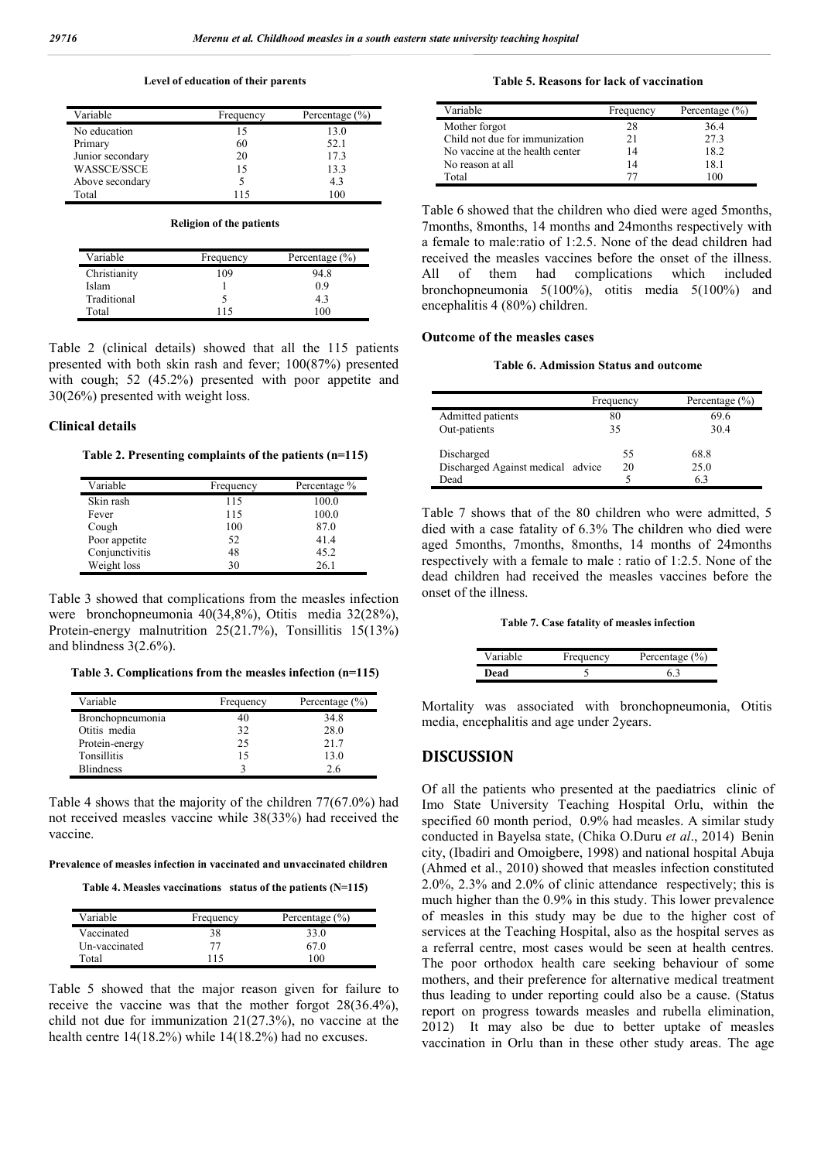#### **Level of education of their parents**

| Variable           | Frequency | Percentage $(\% )$ |
|--------------------|-----------|--------------------|
| No education       | 15        | 13.0               |
| Primary            | 60        | 52.1               |
| Junior secondary   | 20        | 17.3               |
| <b>WASSCE/SSCE</b> | 15        | 13.3               |
| Above secondary    |           | 4.3                |
| Total              | 115       | 100                |

#### **Religion of the patients**

| Variable     | Frequency | Percentage $(\% )$ |
|--------------|-----------|--------------------|
| Christianity | 109       | 94.8               |
| Islam        |           | 0.9                |
| Traditional  |           | 43                 |
| Total        | 115       | 100                |

Table 2 (clinical details) showed that all the 115 patients presented with both skin rash and fever; 100(87%) presented with cough; 52 (45.2%) presented with poor appetite and 30(26%) presented with weight loss.

#### **Clinical details**

#### **Table 2. Presenting complaints of the patients (n=115)**

| Variable       | Frequency | Percentage % |
|----------------|-----------|--------------|
| Skin rash      | 115       | 100.0        |
| Fever          | 115       | 100.0        |
| Cough          | 100       | 87.0         |
| Poor appetite  | 52        | 41.4         |
| Conjunctivitis | 48        | 45.2         |
| Weight loss    | 30        | 26.1         |

Table 3 showed that complications from the measles infection were bronchopneumonia 40(34,8%), Otitis media 32(28%), Protein-energy malnutrition 25(21.7%), Tonsillitis 15(13%) and blindness 3(2.6%).

**Table 3. Complications from the measles infection (n=115)**

| Variable         | Frequency | Percentage $(\% )$ |
|------------------|-----------|--------------------|
| Bronchopneumonia | 40        | 34.8               |
| Otitis media     | 32        | 28.0               |
| Protein-energy   | 25        | 21.7               |
| Tonsillitis      | 15        | 13.0               |
| <b>Blindness</b> |           | 2.6                |

Table 4 shows that the majority of the children 77(67.0%) had not received measles vaccine while 38(33%) had received the vaccine.

**Prevalence of measles infection in vaccinated and unvaccinated children**

|  | Table 4. Measles vaccinations status of the patients (N=115) |
|--|--------------------------------------------------------------|
|--|--------------------------------------------------------------|

| Variable      | Frequency | Percentage $(\% )$ |
|---------------|-----------|--------------------|
| Vaccinated    | 38        | 33.0               |
| Un-vaccinated | 77        | 67 0               |
| Total         | 115       | 100                |

Table 5 showed that the major reason given for failure to receive the vaccine was that the mother forgot 28(36.4%), child not due for immunization 21(27.3%), no vaccine at the health centre 14(18.2%) while 14(18.2%) had no excuses.

#### **Table 5. Reasons for lack of vaccination**

| Variable                        | Frequency | Percentage $(\% )$ |
|---------------------------------|-----------|--------------------|
| Mother forgot                   | 28        | 36.4               |
| Child not due for immunization  | 21        | 273                |
| No vaccine at the health center | 14        | 18.2               |
| No reason at all                | 14        | 18.1               |
| Total                           |           | 100                |

Table 6 showed that the children who died were aged 5months, 7months, 8months, 14 months and 24months respectively with a female to male:ratio of 1:2.5. None of the dead children had received the measles vaccines before the onset of the illness. All of them had complications which included bronchopneumonia 5(100%), otitis media 5(100%) and encephalitis 4 (80%) children.

## **Outcome of the measles cases**

## **Table 6. Admission Status and outcome**

|                                   | Frequency | Percentage $(\% )$ |
|-----------------------------------|-----------|--------------------|
| Admitted patients                 | 80        | 69.6               |
| Out-patients                      | 35        | 30.4               |
| Discharged                        | 55        | 68.8               |
| Discharged Against medical advice | 20        | 25.0               |
| Dead                              |           | 6.3                |

Table 7 shows that of the 80 children who were admitted, 5 died with a case fatality of 6.3% The children who died were aged 5months, 7months, 8months, 14 months of 24months respectively with a female to male : ratio of 1:2.5. None of the dead children had received the measles vaccines before the onset of the illness.

#### **Table 7. Case fatality of measles infection**

| Variable | Frequency | Percentage $(\% )$ |
|----------|-----------|--------------------|
| Dead     |           |                    |

Mortality was associated with bronchopneumonia, Otitis media, encephalitis and age under 2years.

# **DISCUSSION**

Of all the patients who presented at the paediatrics clinic of Imo State University Teaching Hospital Orlu, within the specified 60 month period, 0.9% had measles. A similar study conducted in Bayelsa state, (Chika O.Duru *et al*., 2014) Benin city, (Ibadiri and Omoigbere, 1998) and national hospital Abuja (Ahmed et al., 2010) showed that measles infection constituted 2.0%, 2.3% and 2.0% of clinic attendance respectively; this is much higher than the 0.9% in this study. This lower prevalence of measles in this study may be due to the higher cost of services at the Teaching Hospital, also as the hospital serves as a referral centre, most cases would be seen at health centres. The poor orthodox health care seeking behaviour of some mothers, and their preference for alternative medical treatment thus leading to under reporting could also be a cause. (Status report on progress towards measles and rubella elimination, 2012) It may also be due to better uptake of measles vaccination in Orlu than in these other study areas. The age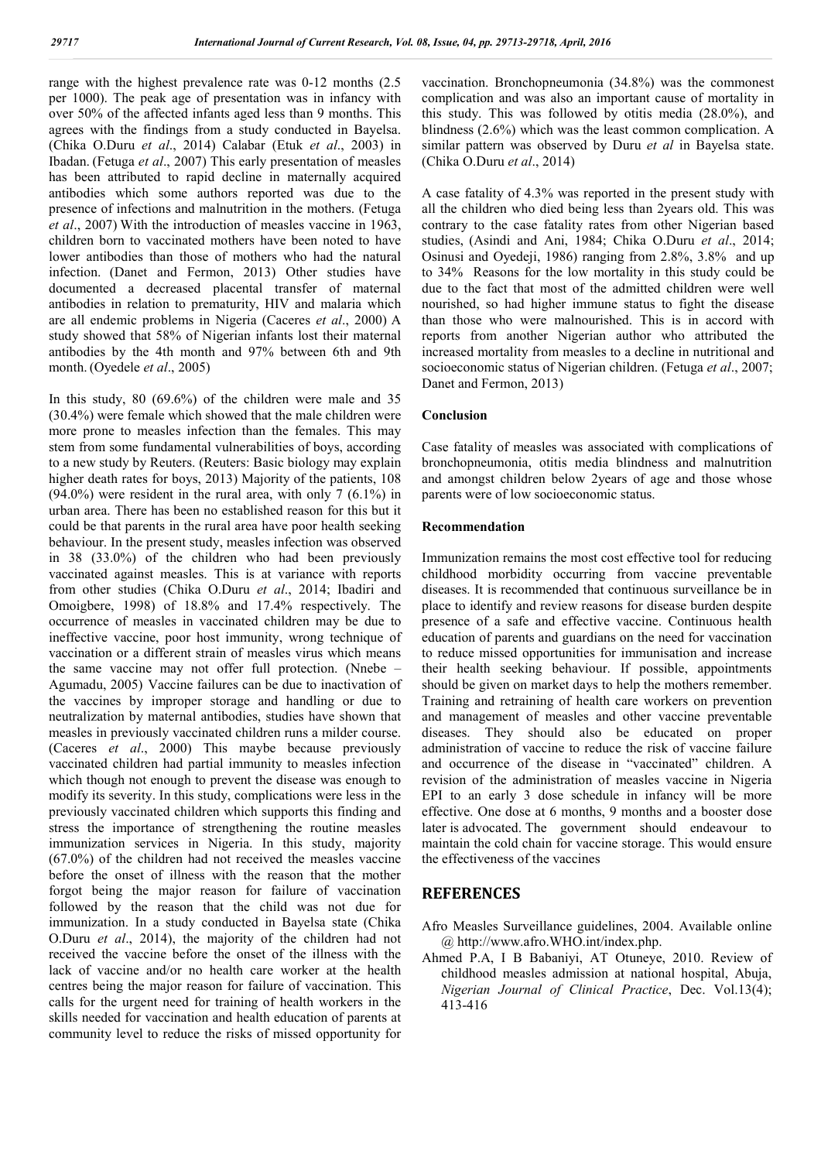range with the highest prevalence rate was 0-12 months (2.5 per 1000). The peak age of presentation was in infancy with over 50% of the affected infants aged less than 9 months. This agrees with the findings from a study conducted in Bayelsa. (Chika O.Duru *et al*., 2014) Calabar (Etuk *et al*., 2003) in Ibadan. (Fetuga *et al*., 2007) This early presentation of measles has been attributed to rapid decline in maternally acquired antibodies which some authors reported was due to the presence of infections and malnutrition in the mothers. (Fetuga *et al*., 2007) With the introduction of measles vaccine in 1963, children born to vaccinated mothers have been noted to have lower antibodies than those of mothers who had the natural infection. (Danet and Fermon, 2013) Other studies have documented a decreased placental transfer of maternal antibodies in relation to prematurity, HIV and malaria which are all endemic problems in Nigeria (Caceres *et al*., 2000) A study showed that 58% of Nigerian infants lost their maternal antibodies by the 4th month and 97% between 6th and 9th month. (Oyedele *et al*., 2005)

In this study, 80 (69.6%) of the children were male and 35 (30.4%) were female which showed that the male children were more prone to measles infection than the females. This may stem from some fundamental vulnerabilities of boys, according to a new study by Reuters. (Reuters: Basic biology may explain higher death rates for boys, 2013) Majority of the patients, 108  $(94.0\%)$  were resident in the rural area, with only 7  $(6.1\%)$  in urban area. There has been no established reason for this but it could be that parents in the rural area have poor health seeking behaviour. In the present study, measles infection was observed in 38 (33.0%) of the children who had been previously vaccinated against measles. This is at variance with reports from other studies (Chika O.Duru *et al*., 2014; Ibadiri and Omoigbere, 1998) of 18.8% and 17.4% respectively. The occurrence of measles in vaccinated children may be due to ineffective vaccine, poor host immunity, wrong technique of vaccination or a different strain of measles virus which means the same vaccine may not offer full protection. (Nnebe – Agumadu, 2005) Vaccine failures can be due to inactivation of the vaccines by improper storage and handling or due to neutralization by maternal antibodies, studies have shown that measles in previously vaccinated children runs a milder course. (Caceres *et al*., 2000) This maybe because previously vaccinated children had partial immunity to measles infection which though not enough to prevent the disease was enough to modify its severity. In this study, complications were less in the previously vaccinated children which supports this finding and stress the importance of strengthening the routine measles immunization services in Nigeria. In this study, majority (67.0%) of the children had not received the measles vaccine before the onset of illness with the reason that the mother forgot being the major reason for failure of vaccination followed by the reason that the child was not due for immunization. In a study conducted in Bayelsa state (Chika O.Duru *et al*., 2014), the majority of the children had not received the vaccine before the onset of the illness with the lack of vaccine and/or no health care worker at the health centres being the major reason for failure of vaccination. This calls for the urgent need for training of health workers in the skills needed for vaccination and health education of parents at community level to reduce the risks of missed opportunity for

vaccination. Bronchopneumonia (34.8%) was the commonest complication and was also an important cause of mortality in this study. This was followed by otitis media (28.0%), and blindness (2.6%) which was the least common complication. A similar pattern was observed by Duru *et al* in Bayelsa state. (Chika O.Duru *et al*., 2014)

A case fatality of 4.3% was reported in the present study with all the children who died being less than 2years old. This was contrary to the case fatality rates from other Nigerian based studies, (Asindi and Ani, 1984; Chika O.Duru *et al*., 2014; Osinusi and Oyedeji, 1986) ranging from 2.8%, 3.8% and up to 34% Reasons for the low mortality in this study could be due to the fact that most of the admitted children were well nourished, so had higher immune status to fight the disease than those who were malnourished. This is in accord with reports from another Nigerian author who attributed the increased mortality from measles to a decline in nutritional and socioeconomic status of Nigerian children. (Fetuga *et al*., 2007; Danet and Fermon, 2013)

# **Conclusion**

Case fatality of measles was associated with complications of bronchopneumonia, otitis media blindness and malnutrition and amongst children below 2years of age and those whose parents were of low socioeconomic status.

## **Recommendation**

Immunization remains the most cost effective tool for reducing childhood morbidity occurring from vaccine preventable diseases. It is recommended that continuous surveillance be in place to identify and review reasons for disease burden despite presence of a safe and effective vaccine. Continuous health education of parents and guardians on the need for vaccination to reduce missed opportunities for immunisation and increase their health seeking behaviour. If possible, appointments should be given on market days to help the mothers remember. Training and retraining of health care workers on prevention and management of measles and other vaccine preventable diseases. They should also be educated on proper administration of vaccine to reduce the risk of vaccine failure and occurrence of the disease in "vaccinated" children. A revision of the administration of measles vaccine in Nigeria EPI to an early 3 dose schedule in infancy will be more effective. One dose at 6 months, 9 months and a booster dose later is advocated. The government should endeavour to maintain the cold chain for vaccine storage. This would ensure the effectiveness of the vaccines

# **REFERENCES**

- Afro Measles Surveillance guidelines, 2004. Available online @ http://www.afro.WHO.int/index.php.
- Ahmed P.A, I B Babaniyi, AT Otuneye, 2010. Review of childhood measles admission at national hospital, Abuja, *Nigerian Journal of Clinical Practice*, Dec. Vol.13(4); 413-416